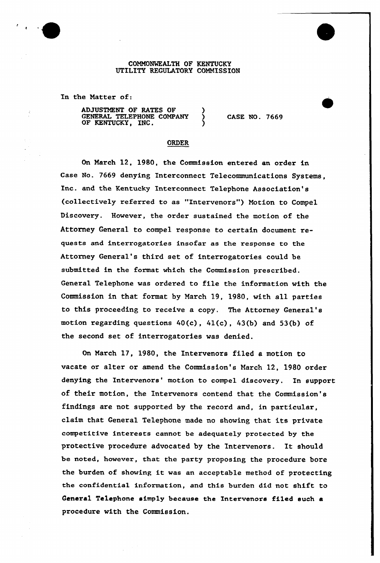## COMMONWEALTH OF KENTUCKY UTILITY REGULATORY COMMISSION

In the Natter of:

ADJUSTMENT OF RATES OF GENERAL TELEPHONE COMPANY OF KENTUCKY, INC.

CASE NO. 7669

## ORDER

On March 12, 1980, the Commission entexed an order in Case No. 7669 denying Intexconnect Telecommunications Systems, Inc. and the Kentucky Interconnect Telephone Association's (collectively referred to as "Intervenors") Motion to Compel Discovery. However, the order sustained the motion of the Attorney General to compel response to certain document requests and interrogatories insofar as the response to the Attorney General's third set of interrogatories could be submitted in the format which the Commission prescribed. General Telephone was ordered to file the information with the Commission in that format by March 19, 1980, with all parties to this proceeding to receive a copy. The Attorney General' motion regarding questions  $40(c)$ ,  $41(c)$ ,  $43(b)$  and  $53(b)$  of the second set of interrogatories was denied.

On March 17, 1980, the Intervenors filed a motion to vacate or alter or amend the Commission's March 12, 1980 order denying the Intervenors' motion to compel discovery. In support of their motion, the Intervenors contend that the Commission's findings are not supported by the record and, in particular, claim that General Telephone made no showing that its private competitive intexests cannot be adequately protected by the protective procedure advocated by the Intervenors. It should be noted, however, that the party proposing the procedure bore the burden of showing it was an acceptable method of protecting the confidential information, and this burden did not shift to General Te1ephone simply because the Intervenors filed such a procedure with the Commission.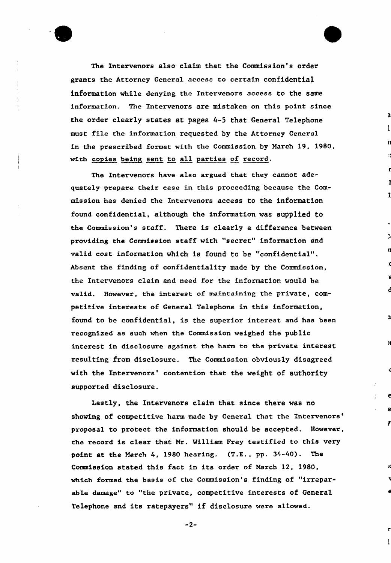

The Intervenors also claim that the Commission's order grants the Attorney General access to certain confidential information while denying the Intervenars access to the same information. The Intervenors are mistaken on this point since the order clearly states at pages 4-5 that General Telephone must file the information requested by the Attarney General in the prescribed format with the Commission by March 19, 1980, with copies being sent to all parties of record.

1

 $\overline{\mathbf{v}}$ 

€

Y

 $\mathsf{L}$ 

The Intervenors have also argued that they cannot adequately prepare their case in this proceeding because the Commission has denied the Intervenors access to the information found confidential, although the information was supplied to the Commission's staff. There is clearly a difference between providing the Commission staff with "secret" information and valid cost information which is found to be "confidential". Absent the finding of confidentiality made by the Commission, the Intervenors claim and need for the information would be valid. However, the interest of maintaining the private, competitive interests of Genexal Telephone in this information, found to be confidential, is the superior interest and has been recognized as such when the Commission weighed the public interest in disclosure against the harm to the private interest resulting from disclosure. The Commission obviously disagreed with the Intervenors' contention that the weight of authority supported disclosure.

Lastly, the Intervenors claim that since there was no showing of competitive harm made by General that the Intervenors' proposal to protect the information should be accepted. However, the record is clear that Nr. William Frey testified to this very point et the March 4, 1980 hearing. (T.E., pp. 34-40). The Commission stated this fact in its order of March 12, 1980, which formed the basis of the Commission's finding of "irreparable damage" to "the private, competitive interests of General Telephone and its ratepayers" if disclosure were allowed.

 $-2-$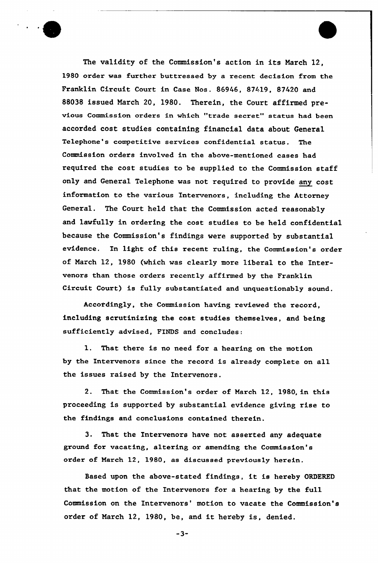The validity of the Commission's action in its March 12, 1980 order was further buttressed by a recent decision from the Franklin Circuit Court in Case Nos. 86946, 87419, 87420 and 88038 issued March 20, 1980. Therein, the Court affirmed previous Commission orders in which "trade secret" status had been accorded cost studies containing financial data about General Telephone's competitive services confidential status. The Commission orders involved in the above-mentioned cases had required the cost studies to be supplied to the Commission staff only and General Telephone was not required to provide any cost information to the various Intervenors, including the Attorney General. The Court held that the Commission acted reasonably and lawfully in ordering the cost studies to be held confidential because the Commission's findings were supported by substantial evidence. In light of this recent ruling, the Commission's order of March 12, 1980 (which was clearly more liberal to the Intervenors than those orders recently affirmed by the Franklin Circuit Court) is fully substantiated and unquestionably sound.

Accordingly, the Commission having reviewed the record, including scrutinising the cost studies themselves, and being sufficiently advised, FINDS and concludes:

1. That there is no need for a hearing on the motion by the Intervenors since the record is already complete on all the issues raised by the Intervenors.

2. That the Commission's order of March 12, 1980, in this proceeding is supported by substantial evidence giving rise to the findings and conclusions contained therein.

3. That the Intervenors have not asserted any adequate ground for vacating, altering or amending the Commission's order of March 12, 1980, as discussed previously herein.

Based upon the above-stated findings, it is hereby ORDERED that the motion of the Intervenors for a hearing by the full Commission on the Intervenors' motion to vacate the Commission's order of March 12, 1980, be, and it hereby is, denied.

"3-